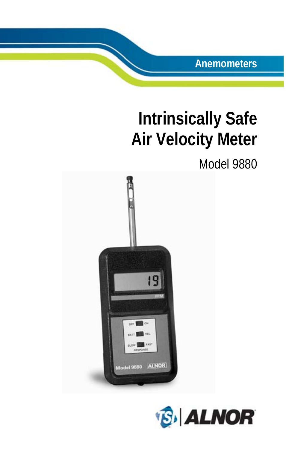**Anemometers**

# **Intrinsically Safe Air Velocity Meter**

## Model 9880



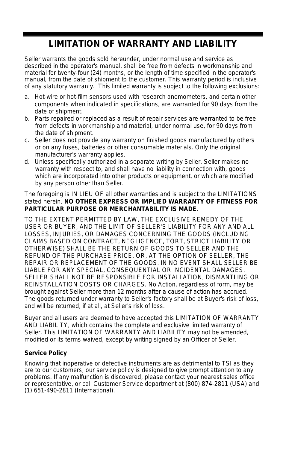#### **LIMITATION OF WARRANTY AND LIABILITY**

Seller warrants the goods sold hereunder, under normal use and service as described in the operator's manual, shall be free from defects in workmanship and material for twenty-four (24) months, or the length of time specified in the operator's manual, from the date of shipment to the customer. This warranty period is inclusive of any statutory warranty. This limited warranty is subject to the following exclusions:

- a. Hot-wire or hot-film sensors used with research anemometers, and certain other components when indicated in specifications, are warranted for 90 days from the date of shipment.
- b. Parts repaired or replaced as a result of repair services are warranted to be free from defects in workmanship and material, under normal use, for 90 days from the date of shipment.
- c. Seller does not provide any warranty on finished goods manufactured by others or on any fuses, batteries or other consumable materials. Only the original manufacturer's warranty applies.
- d. Unless specifically authorized in a separate writing by Seller, Seller makes no warranty with respect to, and shall have no liability in connection with, goods which are incorporated into other products or equipment, or which are modified by any person other than Seller.

#### The foregoing is IN LIEU OF all other warranties and is subject to the LIMITATIONS stated herein. **NO OTHER EXPRESS OR IMPLIED WARRANTY OF FITNESS FOR PARTICULAR PURPOSE OR MERCHANTABILITY IS MADE**.

TO THE EXTENT PERMITTED BY LAW, THE EXCLUSIVE REMEDY OF THE USER OR BUYER, AND THE LIMIT OF SELLER'S LIABILITY FOR ANY AND ALL LOSSES, INJURIES, OR DAMAGES CONCERNING THE GOODS (INCLUDING CLAIMS BASED ON CONTRACT, NEGLIGENCE, TORT, STRICT LIABILITY OR OTHERWISE) SHALL BE THE RETURN OF GOODS TO SELLER AND THE REFUND OF THE PURCHASE PRICE, OR, AT THE OPTION OF SELLER, THE REPAIR OR REPLACEMENT OF THE GOODS. IN NO EVENT SHALL SELLER BE LIABLE FOR ANY SPECIAL, CONSEQUENTIAL OR INCIDENTAL DAMAGES. SELLER SHALL NOT BE RESPONSIBLE FOR INSTALLATION, DISMANTLING OR REINSTALLATION COSTS OR CHARGES. No Action, regardless of form, may be brought against Seller more than 12 months after a cause of action has accrued. The goods returned under warranty to Seller's factory shall be at Buyer's risk of loss, and will be returned, if at all, at Seller's risk of loss.

Buyer and all users are deemed to have accepted this LIMITATION OF WARRANTY AND LIABILITY, which contains the complete and exclusive limited warranty of Seller. This LIMITATION OF WARRANTY AND LIABILITY may not be amended. modified or its terms waived, except by writing signed by an Officer of Seller.

#### **Service Policy**

Knowing that inoperative or defective instruments are as detrimental to TSI as they are to our customers, our service policy is designed to give prompt attention to any problems. If any malfunction is discovered, please contact your nearest sales office or representative, or call Customer Service department at (800) 874-2811 (USA) and (1) 651-490-2811 (International).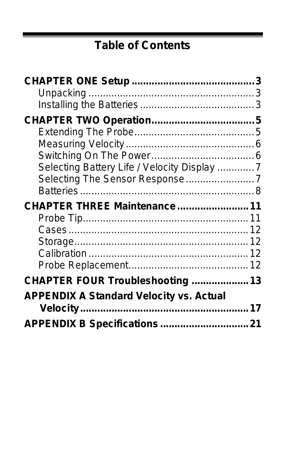# **Table of Contents**

| Selecting Battery Life / Velocity Display 7    |  |
|------------------------------------------------|--|
| Selecting The Sensor Response7                 |  |
|                                                |  |
| CHAPTER THREE Maintenance 11                   |  |
|                                                |  |
|                                                |  |
|                                                |  |
|                                                |  |
|                                                |  |
| CHAPTER FOUR Troubleshooting  13               |  |
| <b>APPENDIX A Standard Velocity vs. Actual</b> |  |
|                                                |  |
| APPENDIX B Specifications 21                   |  |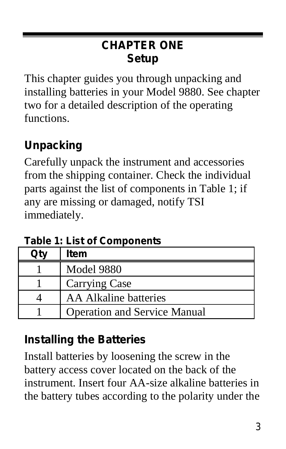## **CHAPTER ONE Setup**

This chapter guides you through unpacking and installing batteries in your Model 9880. See chapter two for a detailed description of the operating functions.

## **Unpacking**

Carefully unpack the instrument and accessories from the shipping container. Check the individual parts against the list of components in Table 1; if any are missing or damaged, notify TSI immediately.

**Table 1: List of Components**

| Item                                |
|-------------------------------------|
| <b>Model 9880</b>                   |
| Carrying Case                       |
| AA Alkaline batteries               |
| <b>Operation and Service Manual</b> |

## **Installing the Batteries**

Install batteries by loosening the screw in the battery access cover located on the back of the instrument. Insert four AA-size alkaline batteries in the battery tubes according to the polarity under the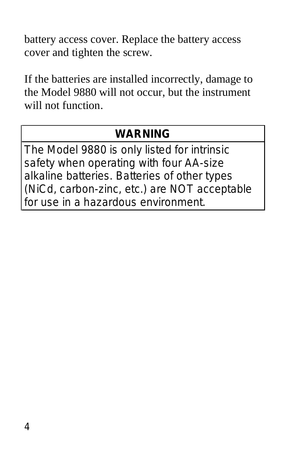battery access cover. Replace the battery access cover and tighten the screw.

If the batteries are installed incorrectly, damage to the Model 9880 will not occur, but the instrument will not function.

## **WARNING**

The Model 9880 is only listed for intrinsic safety when operating with four AA-size alkaline batteries. Batteries of other types (NiCd, carbon-zinc, etc.) are NOT acceptable for use in a hazardous environment.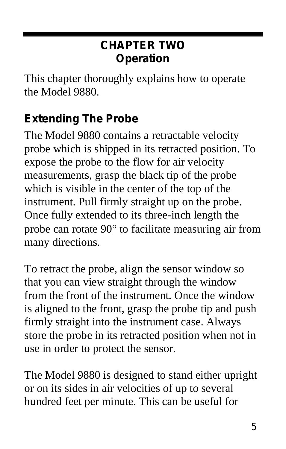## **CHAPTER TWO Operation**

This chapter thoroughly explains how to operate the Model 9880.

## **Extending The Probe**

The Model 9880 contains a retractable velocity probe which is shipped in its retracted position. To expose the probe to the flow for air velocity measurements, grasp the black tip of the probe which is visible in the center of the top of the instrument. Pull firmly straight up on the probe. Once fully extended to its three-inch length the probe can rotate 90° to facilitate measuring air from many directions.

To retract the probe, align the sensor window so that you can view straight through the window from the front of the instrument. Once the window is aligned to the front, grasp the probe tip and push firmly straight into the instrument case. Always store the probe in its retracted position when not in use in order to protect the sensor.

The Model 9880 is designed to stand either upright or on its sides in air velocities of up to several hundred feet per minute. This can be useful for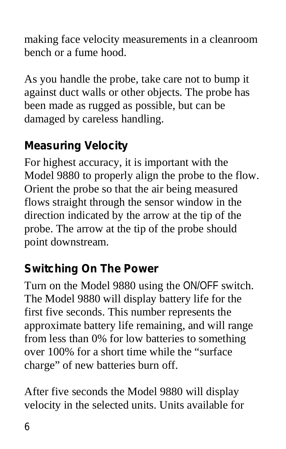making face velocity measurements in a cleanroom bench or a fume hood.

As you handle the probe, take care not to bump it against duct walls or other objects. The probe has been made as rugged as possible, but can be damaged by careless handling.

## **Measuring Velocity**

For highest accuracy, it is important with the Model 9880 to properly align the probe to the flow. Orient the probe so that the air being measured flows straight through the sensor window in the direction indicated by the arrow at the tip of the probe. The arrow at the tip of the probe should point downstream.

## **Switching On The Power**

Turn on the Model 9880 using the ON/OFF switch. The Model 9880 will display battery life for the first five seconds. This number represents the approximate battery life remaining, and will range from less than 0% for low batteries to something over 100% for a short time while the "surface charge" of new batteries burn off.

After five seconds the Model 9880 will display velocity in the selected units. Units available for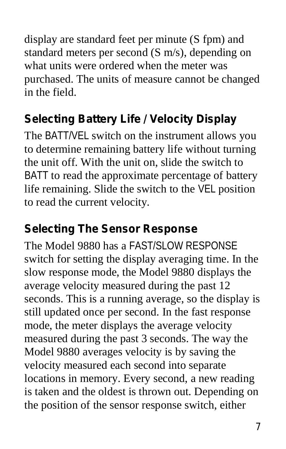display are standard feet per minute (S fpm) and standard meters per second (S m/s), depending on what units were ordered when the meter was purchased. The units of measure cannot be changed in the field.

## **Selecting Battery Life / Velocity Display**

The BATT/VEL switch on the instrument allows you to determine remaining battery life without turning the unit off. With the unit on, slide the switch to BATT to read the approximate percentage of battery life remaining. Slide the switch to the VEL position to read the current velocity.

### **Selecting The Sensor Response**

The Model 9880 has a FAST/SLOW RESPONSE switch for setting the display averaging time. In the slow response mode, the Model 9880 displays the average velocity measured during the past 12 seconds. This is a running average, so the display is still updated once per second. In the fast response mode, the meter displays the average velocity measured during the past 3 seconds. The way the Model 9880 averages velocity is by saving the velocity measured each second into separate locations in memory. Every second, a new reading is taken and the oldest is thrown out. Depending on the position of the sensor response switch, either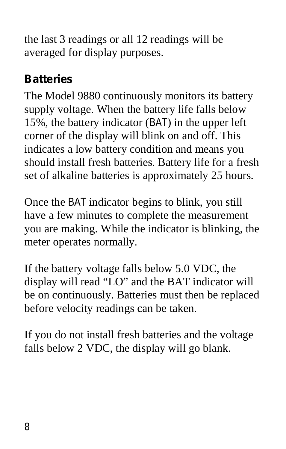the last 3 readings or all 12 readings will be averaged for display purposes.

#### **Batteries**

The Model 9880 continuously monitors its battery supply voltage. When the battery life falls below 15%, the battery indicator (BAT) in the upper left corner of the display will blink on and off. This indicates a low battery condition and means you should install fresh batteries. Battery life for a fresh set of alkaline batteries is approximately 25 hours.

Once the BAT indicator begins to blink, you still have a few minutes to complete the measurement you are making. While the indicator is blinking, the meter operates normally.

If the battery voltage falls below 5.0 VDC, the display will read "LO" and the BAT indicator will be on continuously. Batteries must then be replaced before velocity readings can be taken.

If you do not install fresh batteries and the voltage falls below 2 VDC, the display will go blank.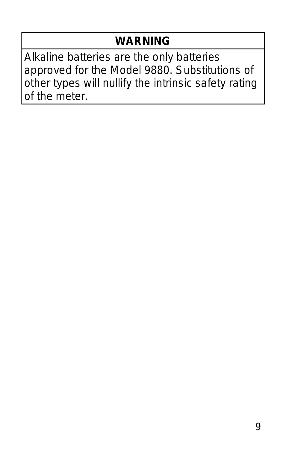## **WARNING**

Alkaline batteries are the only batteries approved for the Model 9880. Substitutions of other types will nullify the intrinsic safety rating of the meter.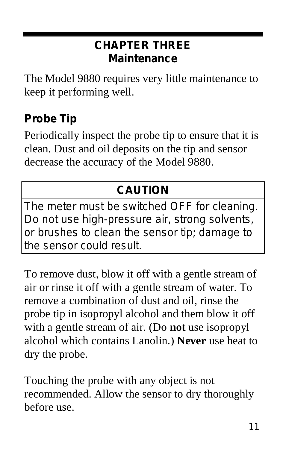### **CHAPTER THREE Maintenance**

The Model 9880 requires very little maintenance to keep it performing well.

## **Probe Tip**

Periodically inspect the probe tip to ensure that it is clean. Dust and oil deposits on the tip and sensor decrease the accuracy of the Model 9880.

## **CAUTION**

The meter must be switched OFF for cleaning. Do not use high-pressure air, strong solvents, or brushes to clean the sensor tip; damage to the sensor could result.

To remove dust, blow it off with a gentle stream of air or rinse it off with a gentle stream of water. To remove a combination of dust and oil, rinse the probe tip in isopropyl alcohol and them blow it off with a gentle stream of air. (Do **not** use isopropyl alcohol which contains Lanolin.) **Never** use heat to dry the probe.

Touching the probe with any object is not recommended. Allow the sensor to dry thoroughly before use.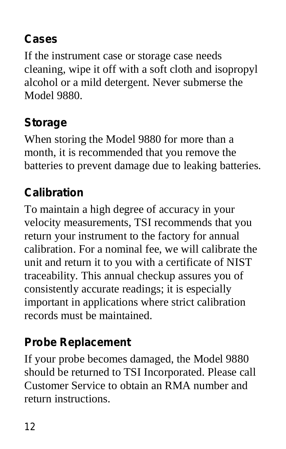## **Cases**

If the instrument case or storage case needs cleaning, wipe it off with a soft cloth and isopropyl alcohol or a mild detergent. Never submerse the Model 9880.

## **Storage**

When storing the Model 9880 for more than a month, it is recommended that you remove the batteries to prevent damage due to leaking batteries.

## **Calibration**

To maintain a high degree of accuracy in your velocity measurements, TSI recommends that you return your instrument to the factory for annual calibration. For a nominal fee, we will calibrate the unit and return it to you with a certificate of NIST traceability. This annual checkup assures you of consistently accurate readings; it is especially important in applications where strict calibration records must be maintained.

## **Probe Replacement**

If your probe becomes damaged, the Model 9880 should be returned to TSI Incorporated. Please call Customer Service to obtain an RMA number and return instructions.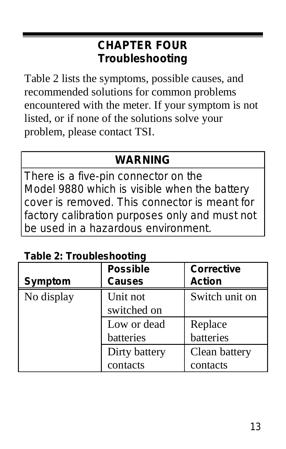## **CHAPTER FOUR Troubleshooting**

Table 2 lists the symptoms, possible causes, and recommended solutions for common problems encountered with the meter. If your symptom is not listed, or if none of the solutions solve your problem, please contact TSI.

## **WARNING**

There is a five-pin connector on the Model 9880 which is visible when the battery cover is removed. This connector is meant for factory calibration purposes only and must not be used in a hazardous environment.

|  | <b>Table 2: Troubleshooting</b> |  |
|--|---------------------------------|--|
|--|---------------------------------|--|

| <b>Symptom</b> | <b>Possible</b><br><b>Causes</b> | <b>Corrective</b><br><b>Action</b> |
|----------------|----------------------------------|------------------------------------|
|                |                                  |                                    |
| No display     | Unit not                         | Switch unit on                     |
|                | switched on                      |                                    |
|                | Low or dead                      | Replace                            |
|                | batteries                        | batteries                          |
|                | Dirty battery                    | Clean battery                      |
|                | contacts                         | contacts                           |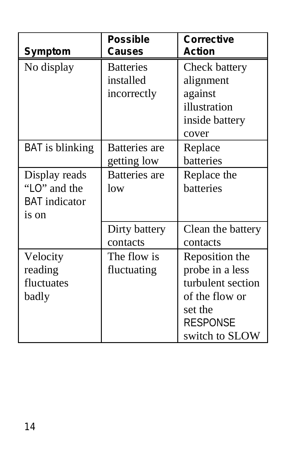| Symptom              | <b>Possible</b><br>Causes | <b>Corrective</b><br><b>Action</b> |
|----------------------|---------------------------|------------------------------------|
| No display           | <b>Batteries</b>          | Check battery                      |
|                      | installed                 | alignment                          |
|                      | incorrectly               | against                            |
|                      |                           | illustration                       |
|                      |                           | inside battery                     |
|                      |                           | cover                              |
| BAT is blinking      | Batteries are             | Replace                            |
|                      | getting low               | batteries                          |
| Display reads        | <b>Batteries</b> are      | Replace the                        |
| " $LO$ " and the     | low                       | batteries                          |
| <b>BAT</b> indicator |                           |                                    |
| is on                |                           |                                    |
|                      | Dirty battery             | Clean the battery                  |
|                      | contacts                  | contacts                           |
| Velocity             | The flow is               | Reposition the                     |
| reading              | fluctuating               | probe in a less                    |
| fluctuates           |                           | turbulent section                  |
| badly                |                           | of the flow or                     |
|                      |                           | set the                            |
|                      |                           | <b>RESPONSE</b>                    |
|                      |                           | switch to SLOW                     |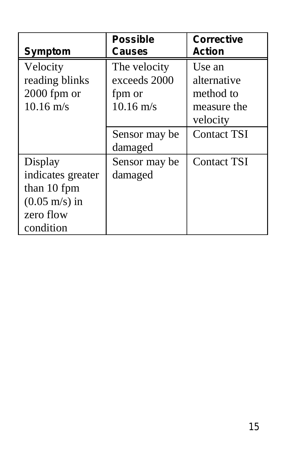|                         | <b>Possible</b>     | <b>Corrective</b>  |
|-------------------------|---------------------|--------------------|
| Symptom                 | Causes              | <b>Action</b>      |
| Velocity                | The velocity        | Use an             |
| reading blinks          | exceeds 2000        | alternative        |
| $2000$ fpm or           | fpm or              | method to          |
| $10.16 \text{ m/s}$     | $10.16 \text{ m/s}$ | measure the        |
|                         |                     | velocity           |
|                         | Sensor may be       | <b>Contact TSI</b> |
|                         | damaged             |                    |
| Display                 | Sensor may be       | <b>Contact TSI</b> |
| indicates greater       | damaged             |                    |
| than 10 fpm             |                     |                    |
| $(0.05 \text{ m/s})$ in |                     |                    |
| zero flow               |                     |                    |
| condition               |                     |                    |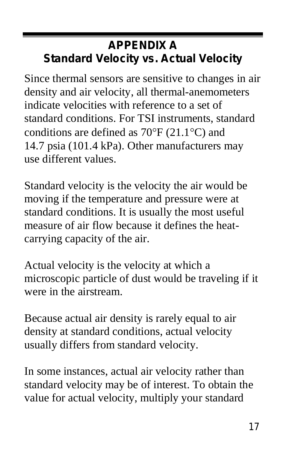## **APPENDIX A Standard Velocity vs. Actual Velocity**

Since thermal sensors are sensitive to changes in air density and air velocity, all thermal-anemometers indicate velocities with reference to a set of standard conditions. For TSI instruments, standard conditions are defined as 70°F (21.1°C) and 14.7 psia (101.4 kPa). Other manufacturers may use different values.

Standard velocity is the velocity the air would be moving if the temperature and pressure were at standard conditions. It is usually the most useful measure of air flow because it defines the heatcarrying capacity of the air.

Actual velocity is the velocity at which a microscopic particle of dust would be traveling if it were in the airstream.

Because actual air density is rarely equal to air density at standard conditions, actual velocity usually differs from standard velocity.

In some instances, actual air velocity rather than standard velocity may be of interest. To obtain the value for actual velocity, multiply your standard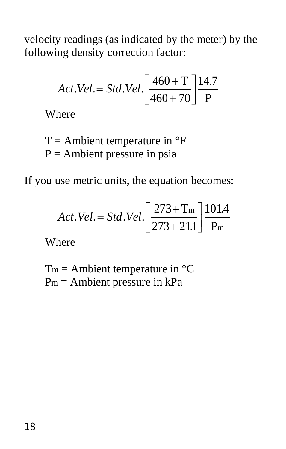velocity readings (as indicated by the meter) by the following density correction factor:

$$
Act. Vel. = Std. Vel. \left[ \frac{460 + T}{460 + 70} \right] \frac{14.7}{P}
$$

Where

 $T =$  Ambient temperature in  $\mathrm{P}F$  $P =$  Ambient pressure in psia

If you use metric units, the equation becomes:

$$
Act. Vel. = Std. Vel. \left[ \frac{273 + T_m}{273 + 21.1} \right] \frac{101.4}{P_m}
$$

Where

 $T_m =$  Ambient temperature in  ${}^{\circ}C$  $P_m =$  Ambient pressure in  $kPa$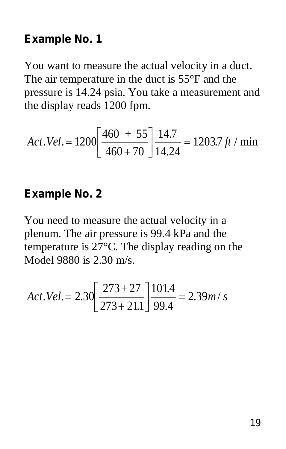#### **Example No. 1**

You want to measure the actual velocity in a duct. The air temperature in the duct is 55°F and the pressure is 14.24 psia. You take a measurement and the display reads 1200 fpm.

$$
Act. Vel. = 1200 \left[ \frac{460 + 55}{460 + 70} \right] \frac{14.7}{14.24} = 1203.7 \, ft / \, \text{min}
$$

#### **Example No. 2**

You need to measure the actual velocity in a plenum. The air pressure is 99.4 kPa and the temperature is 27°C. The display reading on the Model 9880 is 2.30 m/s.

$$
Act. Vel. = 2.30 \left[ \frac{273 + 27}{273 + 211} \right] \frac{101.4}{99.4} = 2.39 m/s
$$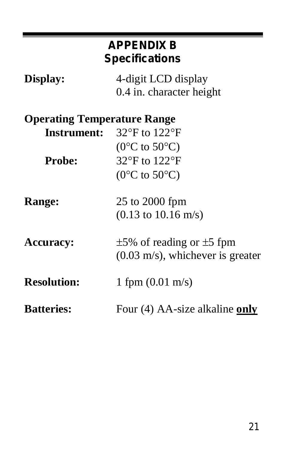| <b>APPENDIX B</b><br><b>Specifications</b> |                                                 |
|--------------------------------------------|-------------------------------------------------|
| Display:                                   | 4-digit LCD display<br>0.4 in. character height |
| <b>Operating Temperature Range</b>         |                                                 |
| <b>Instrument:</b>                         | 32°F to 122°F                                   |
|                                            | $(0^{\circ}C \text{ to } 50^{\circ}C)$          |
| <b>Probe:</b>                              | 32°F to 122°F                                   |
|                                            | $(0^{\circ}C \text{ to } 50^{\circ}C)$          |
| Range:                                     | 25 to 2000 fpm                                  |
|                                            | $(0.13 \text{ to } 10.16 \text{ m/s})$          |
| <b>Accuracy:</b>                           | $\pm$ 5% of reading or $\pm$ 5 fpm              |
|                                            | $(0.03 \text{ m/s})$ , whichever is greater     |
| <b>Resolution:</b>                         | 1 fpm $(0.01 \text{ m/s})$                      |
| <b>Batteries:</b>                          | Four (4) AA-size alkaline only                  |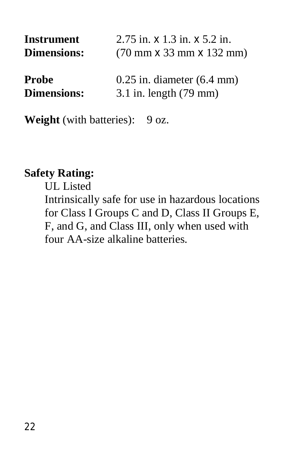| <b>Instrument</b>  | $2.75$ in. $\times$ 1.3 in. $\times$ 5.2 in.                 |  |
|--------------------|--------------------------------------------------------------|--|
| <b>Dimensions:</b> | $(70 \text{ mm} \times 33 \text{ mm} \times 132 \text{ mm})$ |  |
| Probe              | $0.25$ in. diameter $(6.4$ mm)                               |  |
| <b>Dimensions:</b> | $3.1$ in. length $(79 \text{ mm})$                           |  |

**Weight** (with batteries): 9 oz.

#### **Safety Rating:**

UL Listed Intrinsically safe for use in hazardous locations for Class I Groups C and D, Class II Groups E, F, and G, and Class III, only when used with four AA-size alkaline batteries.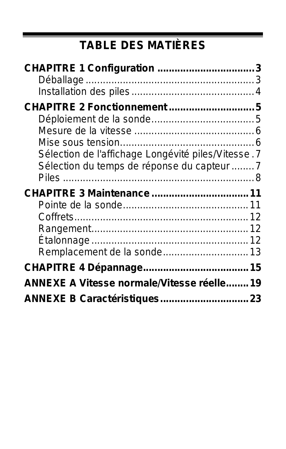# **TABLE DES MATIÈRES**

| <b>CHAPITRE 2 Fonctionnement5</b>                  |  |
|----------------------------------------------------|--|
|                                                    |  |
|                                                    |  |
|                                                    |  |
| Sélection de l'affichage Longévité piles/Vitesse.7 |  |
| Sélection du temps de réponse du capteur 7         |  |
|                                                    |  |
|                                                    |  |
|                                                    |  |
|                                                    |  |
|                                                    |  |
|                                                    |  |
|                                                    |  |
| Remplacement de la sonde 13                        |  |
|                                                    |  |
| ANNEXE A Vitesse normale/Vitesse réelle 19         |  |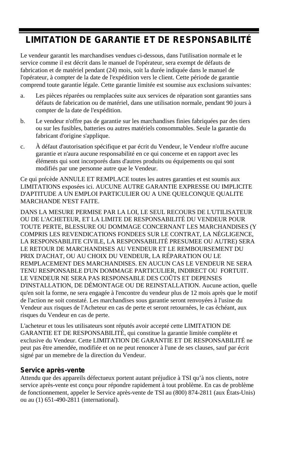#### **LIMITATION DE GARANTIE ET DE RESPONSABILITÉ**

Le vendeur garantit les marchandises vendues ci-dessous, dans l'utilisation normale et le service comme il est décrit dans le manuel de l'opérateur, sera exempt de défauts de fabrication et de matériel pendant (24) mois, soit la durée indiquée dans le manuel de l'opérateur, à compter de la date de l'expédition vers le client. Cette période de garantie comprend toute garantie légale. Cette garantie limitée est soumise aux exclusions suivantes:

- a. Les pièces réparées ou remplacées suite aux services de réparation sont garanties sans défauts de fabrication ou de matériel, dans une utilisation normale, pendant 90 jours à compter de la date de l'expédition.
- b. Le vendeur n'offre pas de garantie sur les marchandises finies fabriquées par des tiers ou sur les fusibles, batteries ou autres matériels consommables. Seule la garantie du fabricant d'origine s'applique.
- c. À défaut d'autorisation spécifique et par écrit du Vendeur, le Vendeur n'offre aucune garantie et n'aura aucune responsabilité en ce qui concerne et en rapport avec les éléments qui sont incorporés dans d'autres produits ou équipements ou qui sont modifiés par une personne autre que le Vendeur.

Ce qui précède ANNULE ET REMPLACE toutes les autres garanties et est soumis aux LIMITATIONS exposées ici. AUCUNE AUTRE GARANTIE EXPRESSE OU IMPLICITE D'APTITUDE A UN EMPLOI PARTICULIER OU A UNE QUELCONQUE QUALITE MARCHANDE N'EST FAITE.

DANS LA MESURE PERMISE PAR LA LOI, LE SEUL RECOURS DE L'UTILISATEUR OU DE L'ACHETEUR, ET LA LIMITE DE RESPONSABILITÉ DU VENDEUR POUR TOUTE PERTE, BLESSURE OU DOMMAGE CONCERNANT LES MARCHANDISES (Y COMPRIS LES REVENDICATIONS FONDEES SUR LE CONTRAT, LA NÉGLIGENCE, LA RESPONSABILITE CIVILE, LA RESPONSABILITÉ PRESUMEE OU AUTRE) SERA LE RETOUR DE MARCHANDISES AU VENDEUR ET LE REMBOURSEMENT DU PRIX D'ACHAT, OU AU CHOIX DU VENDEUR, LA RÉPARATION OU LE REMPLACEMENT DES MARCHANDISES. EN AUCUN CAS LE VENDEUR NE SERA TENU RESPONSABLE D'UN DOMMAGE PARTICULIER, INDIRECT OU FORTUIT. LE VENDEUR NE SERA PAS RESPONSABLE DES COÛTS ET DEPENSES D'INSTALLATION, DE DÉMONTAGE OU DE REINSTALLATION. Aucune action, quelle qu'en soit la forme, ne sera engagée à l'encontre du vendeur plus de 12 mois après que le motif de l'action ne soit constaté. Les marchandises sous garantie seront renvoyées à l'usine du Vendeur aux risques de l'Acheteur en cas de perte et seront retournées, le cas échéant, aux risques du Vendeur en cas de perte.

L'acheteur et tous les utilisateurs sont réputés avoir accepté cette LIMITATION DE GARANTIE ET DE RESPONSABILITÉ, qui constitue la garantie limitée complète et exclusive du Vendeur. Cette LIMITATION DE GARANTIE ET DE RESPONSABILITÉ ne peut pas être amendée, modifiée et on ne peut renoncer à l'une de ses clauses, sauf par écrit signé par un memebre de la direction du Vendeur.

#### **Service après-vente**

Attendu que des appareils défectueux portent autant préjudice à TSI qu'à nos clients, notre service après-vente est conçu pour répondre rapidement à tout problème. En cas de problème de fonctionnement, appeler le Service après-vente de TSI au (800) 874-2811 (aux États-Unis) ou au (1) 651-490-2811 (international).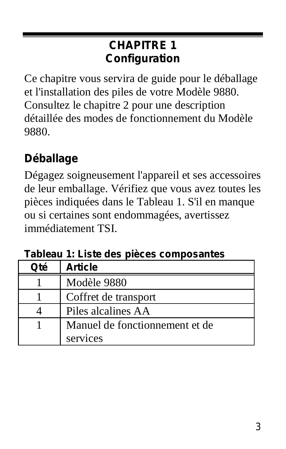## **CHAPITRE 1 Configuration**

Ce chapitre vous servira de guide pour le déballage et l'installation des piles de votre Modèle 9880. Consultez le chapitre 2 pour une description détaillée des modes de fonctionnement du Modèle 9880.

## **Déballage**

Dégagez soigneusement l'appareil et ses accessoires de leur emballage. Vérifiez que vous avez toutes les pièces indiquées dans le Tableau 1. S'il en manque ou si certaines sont endommagées, avertissez immédiatement TSI.

| Oté | <b>Article</b>                 |
|-----|--------------------------------|
|     | Modèle 9880                    |
|     | Coffret de transport           |
|     | Piles alcalines AA             |
|     | Manuel de fonctionnement et de |
|     | services                       |

**Tableau 1: Liste des pièces composantes**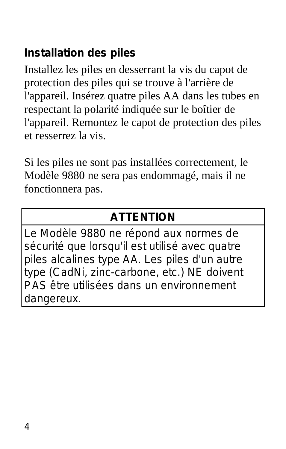## **Installation des piles**

Installez les piles en desserrant la vis du capot de protection des piles qui se trouve à l'arrière de l'appareil. Insérez quatre piles AA dans les tubes en respectant la polarité indiquée sur le boîtier de l'appareil. Remontez le capot de protection des piles et resserrez la vis.

Si les piles ne sont pas installées correctement, le Modèle 9880 ne sera pas endommagé, mais il ne fonctionnera pas.

### **ATTENTION**

Le Modèle 9880 ne répond aux normes de sécurité que lorsqu'il est utilisé avec quatre piles alcalines type AA. Les piles d'un autre type (CadNi, zinc-carbone, etc.) NE doivent PAS être utilisées dans un environnement dangereux.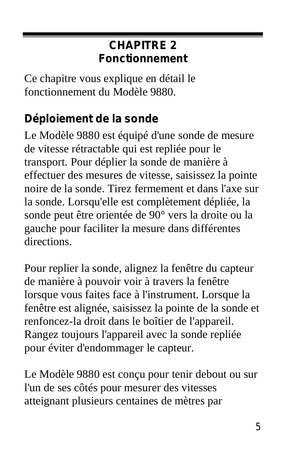### **CHAPITRE 2 Fonctionnement**

Ce chapitre vous explique en détail le fonctionnement du Modèle 9880.

## **Déploiement de la sonde**

Le Modèle 9880 est équipé d'une sonde de mesure de vitesse rétractable qui est repliée pour le transport. Pour déplier la sonde de manière à effectuer des mesures de vitesse, saisissez la pointe noire de la sonde. Tirez fermement et dans l'axe sur la sonde. Lorsqu'elle est complètement dépliée, la sonde peut être orientée de 90° vers la droite ou la gauche pour faciliter la mesure dans différentes directions.

Pour replier la sonde, alignez la fenêtre du capteur de manière à pouvoir voir à travers la fenêtre lorsque vous faites face à l'instrument. Lorsque la fenêtre est alignée, saisissez la pointe de la sonde et renfoncez-la droit dans le boîtier de l'appareil. Rangez toujours l'appareil avec la sonde repliée pour éviter d'endommager le capteur.

Le Modèle 9880 est conçu pour tenir debout ou sur l'un de ses côtés pour mesurer des vitesses atteignant plusieurs centaines de mètres par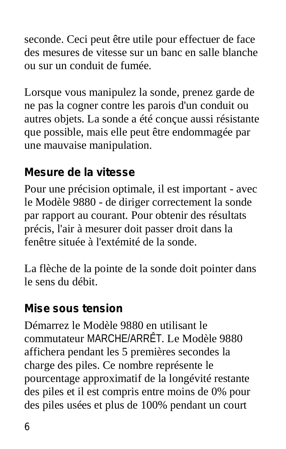seconde. Ceci peut être utile pour effectuer de face des mesures de vitesse sur un banc en salle blanche ou sur un conduit de fumée.

Lorsque vous manipulez la sonde, prenez garde de ne pas la cogner contre les parois d'un conduit ou autres objets. La sonde a été conçue aussi résistante que possible, mais elle peut être endommagée par une mauvaise manipulation.

## **Mesure de la vitesse**

Pour une précision optimale, il est important - avec le Modèle 9880 - de diriger correctement la sonde par rapport au courant. Pour obtenir des résultats précis, l'air à mesurer doit passer droit dans la fenêtre située à l'extémité de la sonde.

La flèche de la pointe de la sonde doit pointer dans le sens du débit.

#### **Mise sous tension**

Démarrez le Modèle 9880 en utilisant le commutateur MARCHE/ARRÊT. Le Modèle 9880 affichera pendant les 5 premières secondes la charge des piles. Ce nombre représente le pourcentage approximatif de la longévité restante des piles et il est compris entre moins de 0% pour des piles usées et plus de 100% pendant un court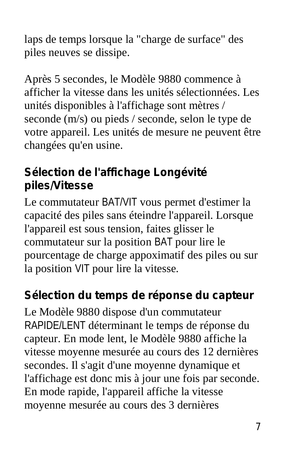laps de temps lorsque la "charge de surface" des piles neuves se dissipe.

Après 5 secondes, le Modèle 9880 commence à afficher la vitesse dans les unités sélectionnées. Les unités disponibles à l'affichage sont mètres / seconde (m/s) ou pieds / seconde, selon le type de votre appareil. Les unités de mesure ne peuvent être changées qu'en usine.

## **Sélection de l'affichage Longévité piles/Vitesse**

Le commutateur BAT/VIT vous permet d'estimer la capacité des piles sans éteindre l'appareil. Lorsque l'appareil est sous tension, faites glisser le commutateur sur la position BAT pour lire le pourcentage de charge appoximatif des piles ou sur la position VIT pour lire la vitesse.

#### **Sélection du temps de réponse du capteur**

Le Modèle 9880 dispose d'un commutateur RAPIDE/LENT déterminant le temps de réponse du capteur. En mode lent, le Modèle 9880 affiche la vitesse moyenne mesurée au cours des 12 dernières secondes. Il s'agit d'une moyenne dynamique et l'affichage est donc mis à jour une fois par seconde. En mode rapide, l'appareil affiche la vitesse moyenne mesurée au cours des 3 dernières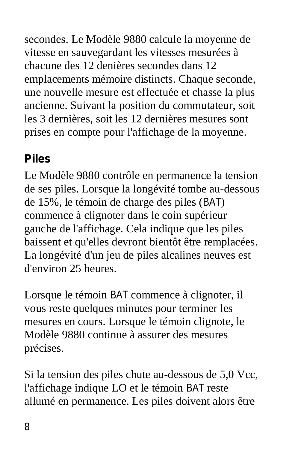secondes. Le Modèle 9880 calcule la moyenne de vitesse en sauvegardant les vitesses mesurées à chacune des 12 denières secondes dans 12 emplacements mémoire distincts. Chaque seconde, une nouvelle mesure est effectuée et chasse la plus ancienne. Suivant la position du commutateur, soit les 3 dernières, soit les 12 dernières mesures sont prises en compte pour l'affichage de la moyenne.

## **Piles**

Le Modèle 9880 contrôle en permanence la tension de ses piles. Lorsque la longévité tombe au-dessous de 15%, le témoin de charge des piles (BAT) commence à clignoter dans le coin supérieur gauche de l'affichage. Cela indique que les piles baissent et qu'elles devront bientôt être remplacées. La longévité d'un jeu de piles alcalines neuves est d'environ 25 heures.

Lorsque le témoin BAT commence à clignoter, il vous reste quelques minutes pour terminer les mesures en cours. Lorsque le témoin clignote, le Modèle 9880 continue à assurer des mesures précises.

Si la tension des piles chute au-dessous de 5,0 Vcc, l'affichage indique LO et le témoin BAT reste allumé en permanence. Les piles doivent alors être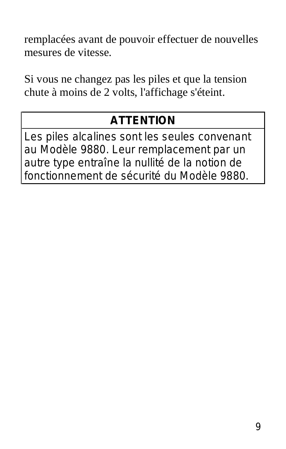remplacées avant de pouvoir effectuer de nouvelles mesures de vitesse.

Si vous ne changez pas les piles et que la tension chute à moins de 2 volts, l'affichage s'éteint.

## **ATTENTION**

Les piles alcalines sont les seules convenant au Modèle 9880. Leur remplacement par un autre type entraîne la nullité de la notion de fonctionnement de sécurité du Modèle 9880.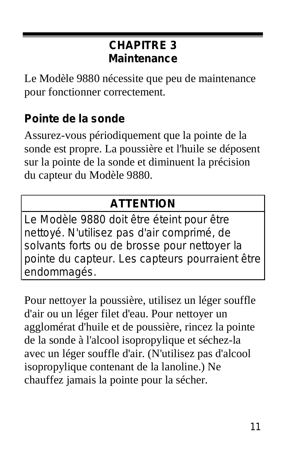### **CHAPITRE 3 Maintenance**

Le Modèle 9880 nécessite que peu de maintenance pour fonctionner correctement.

## **Pointe de la sonde**

Assurez-vous périodiquement que la pointe de la sonde est propre. La poussière et l'huile se déposent sur la pointe de la sonde et diminuent la précision du capteur du Modèle 9880.

## **ATTENTION**

Le Modèle 9880 doit être éteint pour être nettoyé. N'utilisez pas d'air comprimé, de solvants forts ou de brosse pour nettoyer la pointe du capteur. Les capteurs pourraient être endommagés.

Pour nettoyer la poussière, utilisez un léger souffle d'air ou un léger filet d'eau. Pour nettoyer un agglomérat d'huile et de poussière, rincez la pointe de la sonde à l'alcool isopropylique et séchez-la avec un léger souffle d'air. (N'utilisez pas d'alcool isopropylique contenant de la lanoline.) Ne chauffez jamais la pointe pour la sécher.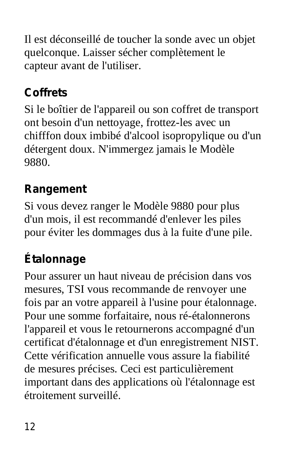Il est déconseillé de toucher la sonde avec un objet quelconque. Laisser sécher complètement le capteur avant de l'utiliser.

## **Coffrets**

Si le boîtier de l'appareil ou son coffret de transport ont besoin d'un nettoyage, frottez-les avec un chifffon doux imbibé d'alcool isopropylique ou d'un détergent doux. N'immergez jamais le Modèle 9880.

## **Rangement**

Si vous devez ranger le Modèle 9880 pour plus d'un mois, il est recommandé d'enlever les piles pour éviter les dommages dus à la fuite d'une pile.

## **Étalonnage**

Pour assurer un haut niveau de précision dans vos mesures, TSI vous recommande de renvoyer une fois par an votre appareil à l'usine pour étalonnage. Pour une somme forfaitaire, nous ré-étalonnerons l'appareil et vous le retournerons accompagné d'un certificat d'étalonnage et d'un enregistrement NIST. Cette vérification annuelle vous assure la fiabilité de mesures précises. Ceci est particulièrement important dans des applications où l'étalonnage est étroitement surveillé.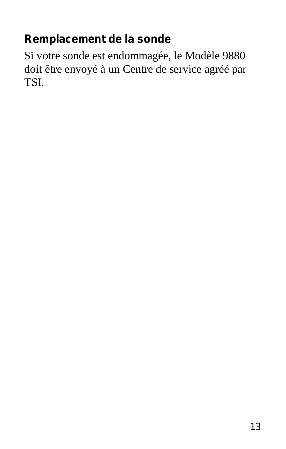### **Remplacement de la sonde**

Si votre sonde est endommagée, le Modèle 9880 doit être envoyé à un Centre de service agréé par TSI.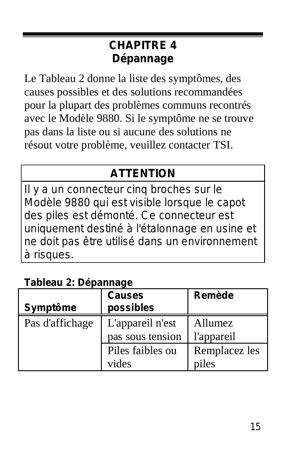### **CHAPITRE 4 Dépannage**

Le Tableau 2 donne la liste des symptômes, des causes possibles et des solutions recommandées pour la plupart des problèmes communs recontrés avec le Modèle 9880. Si le symptôme ne se trouve pas dans la liste ou si aucune des solutions ne résout votre problème, veuillez contacter TSI.

### **ATTENTION**

Il y a un connecteur cinq broches sur le Modèle 9880 qui est visible lorsque le capot des piles est démonté. Ce connecteur est uniquement destiné à l'étalonnage en usine et ne doit pas être utilisé dans un environnement à risques.

#### **Tableau 2: Dépannage**

|                 | <b>Causes</b>    | Remède        |
|-----------------|------------------|---------------|
| Symptôme        | possibles        |               |
| Pas d'affichage | L'appareil n'est | Allumez       |
|                 | pas sous tension | l'appareil    |
|                 | Piles faibles ou | Remplacez les |
|                 | vides            | piles         |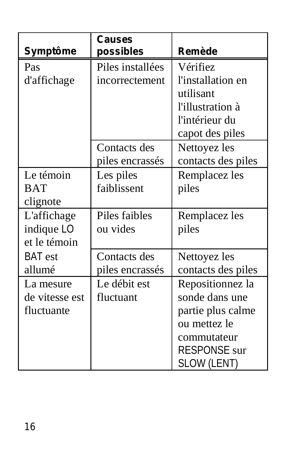|                | Causes           |                     |
|----------------|------------------|---------------------|
| Symptôme       | possibles        | Remède              |
| Pas            | Piles installées | Vérifiez            |
| d'affichage    | incorrectement   | l'installation en   |
|                |                  | utilisant           |
|                |                  | l'illustration à    |
|                |                  | l'intérieur du      |
|                |                  | capot des piles     |
|                | Contacts des     | Nettoyez les        |
|                | piles encrassés  | contacts des piles  |
| Le témoin      | Les piles        | Remplacez les       |
| <b>BAT</b>     | faiblissent      | piles               |
| clignote       |                  |                     |
| L'affichage    | Piles faibles    | Remplacez les       |
| indique LO     | ou vides         | piles               |
| et le témoin   |                  |                     |
| BAT est        | Contacts des     | Nettoyez les        |
| allumé         | piles encrassés  | contacts des piles  |
| La mesure      | Le débit est     | Repositionnez la    |
| de vitesse est | fluctuant        | sonde dans une      |
| fluctuante     |                  | partie plus calme   |
|                |                  | ou mettez le        |
|                |                  | commutateur         |
|                |                  | <b>RESPONSE</b> sur |
|                |                  | SLOW (LENT)         |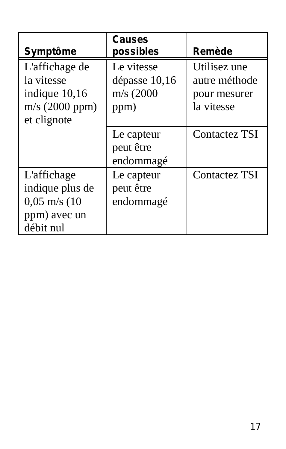| Symptôme                                                                              | Causes<br>possibles                                 | Remède                                                      |
|---------------------------------------------------------------------------------------|-----------------------------------------------------|-------------------------------------------------------------|
| L'affichage de<br>la vitesse<br>indique $10,16$<br>$m/s$ (2000 ppm)<br>et clignote    | Le vitesse<br>dépasse 10,16<br>$m/s$ (2000)<br>ppm) | Utilisez une<br>autre méthode<br>pour mesurer<br>la vitesse |
|                                                                                       | Le capteur<br>peut être<br>endommagé                | Contactez TSI                                               |
| L'affichage<br>indique plus de<br>$0,05 \text{ m/s}$ (10<br>ppm) avec un<br>débit nul | Le capteur<br>peut être<br>endommagé                | Contactez TSI                                               |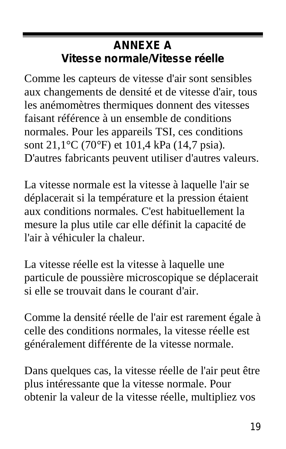### **ANNEXE A Vitesse normale/Vitesse réelle**

Comme les capteurs de vitesse d'air sont sensibles aux changements de densité et de vitesse d'air, tous les anémomètres thermiques donnent des vitesses faisant référence à un ensemble de conditions normales. Pour les appareils TSI, ces conditions sont 21,1°C (70*°*F) et 101,4 kPa (14,7 psia). D'autres fabricants peuvent utiliser d'autres valeurs.

La vitesse normale est la vitesse à laquelle l'air se déplacerait si la température et la pression étaient aux conditions normales. C'est habituellement la mesure la plus utile car elle définit la capacité de l'air à véhiculer la chaleur.

La vitesse réelle est la vitesse à laquelle une particule de poussière microscopique se déplacerait si elle se trouvait dans le courant d'air.

Comme la densité réelle de l'air est rarement égale à celle des conditions normales, la vitesse réelle est généralement différente de la vitesse normale.

Dans quelques cas, la vitesse réelle de l'air peut être plus intéressante que la vitesse normale. Pour obtenir la valeur de la vitesse réelle, multipliez vos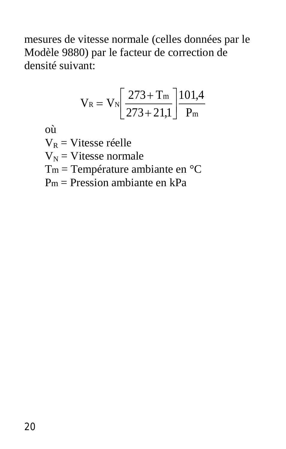mesures de vitesse normale (celles données par le Modèle 9880) par le facteur de correction de densité suivant:

$$
V_{\text{R}} = V_{\text{N}}\!\!\left[\frac{273\!+\!T_{\text{m}}}{273\!+\!21,\!1}\right]\!\!\frac{101,\!4}{P_{\text{m}}}
$$

où

 $V_R$  = Vitesse réelle

 $V_N$  = Vitesse normale

Tm = Température ambiante en °C

Pm = Pression ambiante en kPa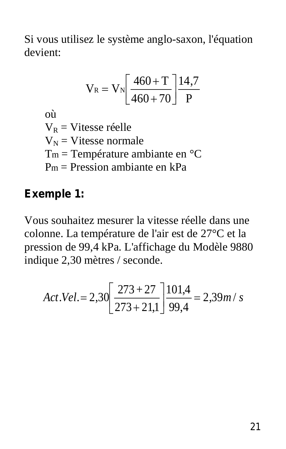Si vous utilisez le système anglo-saxon, l'équation devient:

$$
V_R = V_N \left[ \frac{460 + T}{460 + 70} \right] \frac{14.7}{P}
$$

où  $V_R$  = Vitesse réelle  $V_N$  = Vitesse normale Tm = Température ambiante en °C Pm = Pression ambiante en kPa

### **Exemple 1:**

Vous souhaitez mesurer la vitesse réelle dans une colonne. La température de l'air est de 27°C et la pression de 99,4 kPa. L'affichage du Modèle 9880 indique 2,30 mètres / seconde.

$$
Act. Vel. = 2,30 \left[ \frac{273 + 27}{273 + 21,1} \right] \frac{101,4}{99,4} = 2,39m/s
$$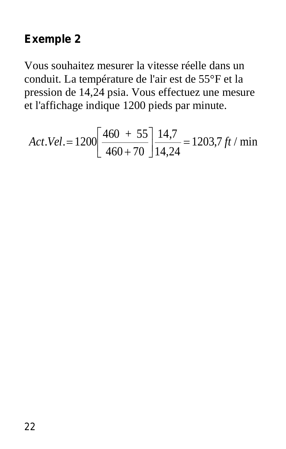#### **Exemple 2**

Vous souhaitez mesurer la vitesse réelle dans un conduit. La température de l'air est de 55°F et la pression de 14,24 psia. Vous effectuez une mesure et l'affichage indique 1200 pieds par minute.

$$
Act. Vel. = 1200 \left[ \frac{460 + 55}{460 + 70} \right] \frac{14.7}{14.24} = 1203.7 \, ft / \, \text{min}
$$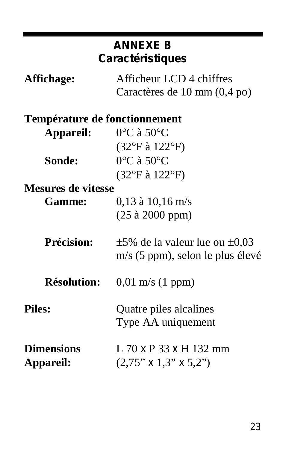# **ANNEXE B Caractéristiques Affichage:** Afficheur LCD 4 chiffres Caractères de 10 mm (0,4 po) **Température de fonctionnement Appareil:** 0°C à 50°C (32°F à 122°F) **Sonde:** 0°C à 50°C (32°F à 122°F) **Mesures de vitesse Gamme:** 0,13 à 10,16 m/s (25 à 2000 ppm) **Précision:**  $\pm 5\%$  de la valeur lue ou  $\pm 0.03$ m/s (5 ppm), selon le plus élevé **Résolution:** 0,01 m/s (1 ppm) **Piles:** Quatre piles alcalines Type AA uniquement **Dimensions** L 70 x P 33 x H 132 mm **Appareil:** (2,75" x 1,3" x 5,2")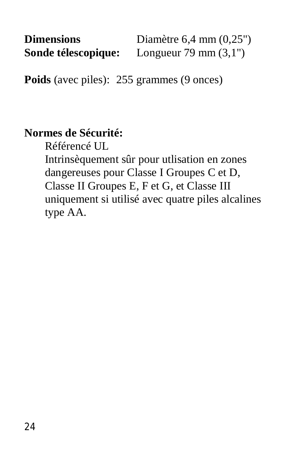Poids (avec piles): 255 grammes (9 onces)

#### **Normes de Sécurité:**

Référencé UL

Intrinsèquement sûr pour utlisation en zones dangereuses pour Classe I Groupes C et D, Classe II Groupes E, F et G, et Classe III uniquement si utilisé avec quatre piles alcalines type AA.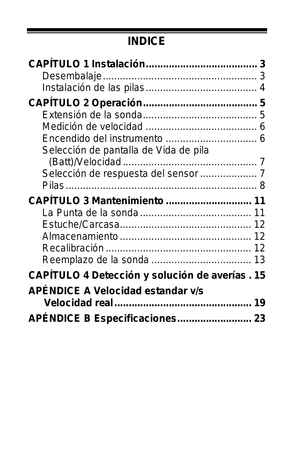## **INDICE**

|                                                | з<br>З |
|------------------------------------------------|--------|
|                                                |        |
|                                                |        |
|                                                |        |
|                                                | 6      |
|                                                |        |
| Selección de pantalla de Vida de pila          |        |
|                                                |        |
|                                                |        |
| Pilas ………………………………………………………… 8                 |        |
|                                                |        |
|                                                |        |
|                                                |        |
|                                                |        |
|                                                |        |
|                                                |        |
|                                                |        |
| CAPÍTULO 4 Detección y solución de averías. 15 |        |
| APÉNDICE A Velocidad estandar v/s              |        |
|                                                |        |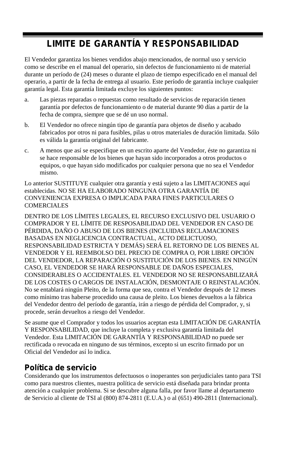#### **LIMITE DE GARANTÍA Y RESPONSABILIDAD**

El Vendedor garantiza los bienes vendidos abajo mencionados, de normal uso y servicio como se describe en el manual del operario, sin defectos de funcionamiento ni de material durante un período de (24) meses o durante el plazo de tiempo especificado en el manual del operario, a partir de la fecha de entrega al usuario. Este período de garantía incluye cualquier garantía legal. Esta garantía limitada excluye los siguientes puntos:

- a. Las piezas reparadas o repuestas como resultado de servicios de reparación tienen garantía por defectos de funcionamiento o de material durante 90 días a partir de la fecha de compra, siempre que se dé un uso normal.
- b. El Vendedor no ofrece ningún tipo de garantía para objetos de diseño y acabado fabricados por otros ni para fusibles, pilas u otros materiales de duración limitada. Sólo es válida la garantía original del fabricante.
- c. A menos que así se especifique en un escrito aparte del Vendedor, éste no garantiza ni se hace responsable de los bienes que hayan sido incorporados a otros productos o equipos, o que hayan sido modificados por cualquier persona que no sea el Vendedor mismo.

Lo anterior SUSTITUYE cualquier otra garantía y está sujeto a las LIMITACIONES aquí establecidas. NO SE HA ELABORADO NINGUNA OTRA GARANTÍA DE CONVENIENCIA EXPRESA O IMPLICADA PARA FINES PARTICULARES O COMERCIALES

DENTRO DE LOS LÍMITES LEGALES, EL RECURSO EXCLUSIVO DEL USUARIO O COMPRADOR Y EL LÍMITE DE RESPOSABILIDAD DEL VENDEDOR EN CASO DE PÉRDIDA, DAÑO O ABUSO DE LOS BIENES (INCLUIDAS RECLAMACIONES BASADAS EN NEGLICENCIA CONTRACTUAL, ACTO DELICTUOSO, RESPONSABILIDAD ESTRICTA Y DEMÁS) SERÁ EL RETORNO DE LOS BIENES AL VENDEDOR Y EL REEMBOLSO DEL PRECIO DE COMPRA O, POR LIBRE OPCIÓN DEL VENDEDOR, LA REPARACIÓN O SUSTITUCIÓN DE LOS BIENES. EN NINGÚN CASO, EL VENDEDOR SE HARÁ RESPONSABLE DE DAÑOS ESPECIALES, CONSIDERABLES O ACCIDENTALES. EL VENDEDOR NO SE RESPONSABILIZARÁ DE LOS COSTES O CARGOS DE INSTALACIÓN, DESMONTAJE O REINSTALACIÓN. No se entablará ningún Pleito, de la forma que sea, contra el Vendedor después de 12 meses como mínimo tras haberse procedido una causa de pleito. Los bienes devueltos a la fábrica del Vendedor dentro del período de garantía, irán a riesgo de pérdida del Comprador, y, si procede, serán devueltos a riesgo del Vendedor.

Se asume que el Comprador y todos los usuarios aceptan esta LIMITACIÓN DE GARANTÍA Y RESPONSABILIDAD, que incluye la completa y exclusiva garantía limitada del Vendedor. Esta LIMITACIÓN DE GARANTÍA Y RESPONSABILIDAD no puede ser rectificada o revocada en ninguno de sus términos, excepto si un escrito firmado por un Oficial del Vendedor así lo indica.

#### **Política de servicio**

Considerando que los instrumentos defectuosos o inoperantes son perjudiciales tanto para TSI como para nuestros clientes, nuestra política de servicio está diseñada para brindar pronta atención a cualquier problema. Si se descubre alguna falla, por favor llame al departamento de Servicio al cliente de TSI al (800) 874-2811 (E.U.A.) o al (651) 490-2811 (Internacional).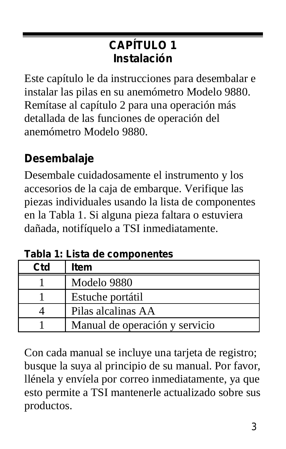### **CAPÍTULO 1 Instalación**

Este capítulo le da instrucciones para desembalar e instalar las pilas en su anemómetro Modelo 9880. Remítase al capítulo 2 para una operación más detallada de las funciones de operación del anemómetro Modelo 9880.

### **Desembalaje**

Desembale cuidadosamente el instrumento y los accesorios de la caja de embarque. Verifique las piezas individuales usando la lista de componentes en la Tabla 1. Si alguna pieza faltara o estuviera dañada, notifíquelo a TSI inmediatamente.

|                 | Tabla 1: Lista de componentes |
|-----------------|-------------------------------|
| C <sub>td</sub> | l Item                        |

| Ctd | Item                           |
|-----|--------------------------------|
|     | Modelo 9880                    |
|     | Estuche portátil               |
|     | Pilas alcalinas AA             |
|     | Manual de operación y servicio |

Con cada manual se incluye una tarjeta de registro; busque la suya al principio de su manual. Por favor, llénela y envíela por correo inmediatamente, ya que esto permite a TSI mantenerle actualizado sobre sus productos.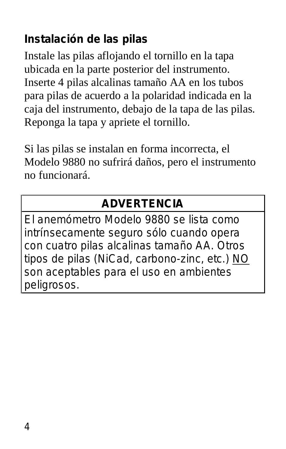### **Instalación de las pilas**

Instale las pilas aflojando el tornillo en la tapa ubicada en la parte posterior del instrumento. Inserte 4 pilas alcalinas tamaño AA en los tubos para pilas de acuerdo a la polaridad indicada en la caja del instrumento, debajo de la tapa de las pilas. Reponga la tapa y apriete el tornillo.

Si las pilas se instalan en forma incorrecta, el Modelo 9880 no sufrirá daños, pero el instrumento no funcionará.

### **ADVERTENCIA**

El anemómetro Modelo 9880 se lista como intrínsecamente seguro sólo cuando opera con cuatro pilas alcalinas tamaño AA. Otros tipos de pilas (NiCad, carbono-zinc, etc.) NO son aceptables para el uso en ambientes peligrosos.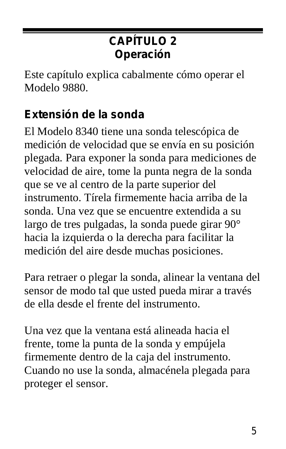### **CAPÍTULO 2 Operación**

Este capítulo explica cabalmente cómo operar el Modelo 9880.

### **Extensión de la sonda**

El Modelo 8340 tiene una sonda telescópica de medición de velocidad que se envía en su posición plegada. Para exponer la sonda para mediciones de velocidad de aire, tome la punta negra de la sonda que se ve al centro de la parte superior del instrumento. Tírela firmemente hacia arriba de la sonda. Una vez que se encuentre extendida a su largo de tres pulgadas, la sonda puede girar 90° hacia la izquierda o la derecha para facilitar la medición del aire desde muchas posiciones.

Para retraer o plegar la sonda, alinear la ventana del sensor de modo tal que usted pueda mirar a través de ella desde el frente del instrumento.

Una vez que la ventana está alineada hacia el frente, tome la punta de la sonda y empújela firmemente dentro de la caja del instrumento. Cuando no use la sonda, almacénela plegada para proteger el sensor.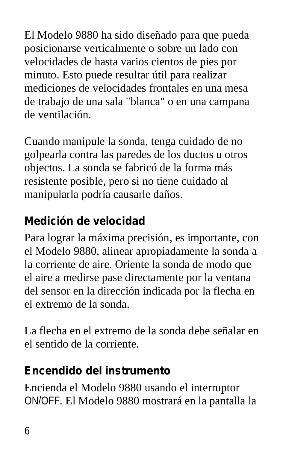El Modelo 9880 ha sido diseñado para que pueda posicionarse verticalmente o sobre un lado con velocidades de hasta varios cientos de pies por minuto. Esto puede resultar útil para realizar mediciones de velocidades frontales en una mesa de trabajo de una sala "blanca" o en una campana de ventilación.

Cuando manipule la sonda, tenga cuidado de no golpearla contra las paredes de los ductos u otros objectos. La sonda se fabricó de la forma más resistente posible, pero si no tiene cuidado al manipularla podría causarle daños.

### **Medición de velocidad**

Para lograr la máxima precisión, es importante, con el Modelo 9880, alinear apropiadamente la sonda a la corriente de aire. Oriente la sonda de modo que el aire a medirse pase directamente por la ventana del sensor en la dirección indicada por la flecha en el extremo de la sonda.

La flecha en el extremo de la sonda debe señalar en el sentido de la corriente.

### **Encendido del instrumento**

Encienda el Modelo 9880 usando el interruptor ON/OFF. El Modelo 9880 mostrará en la pantalla la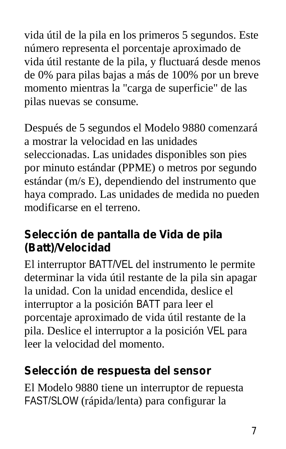vida útil de la pila en los primeros 5 segundos. Este número representa el porcentaje aproximado de vida útil restante de la pila, y fluctuará desde menos de 0% para pilas bajas a más de 100% por un breve momento mientras la "carga de superficie" de las pilas nuevas se consume.

Después de 5 segundos el Modelo 9880 comenzará a mostrar la velocidad en las unidades seleccionadas. Las unidades disponibles son pies por minuto estándar (PPME) o metros por segundo estándar (m/s E), dependiendo del instrumento que haya comprado. Las unidades de medida no pueden modificarse en el terreno.

### **Selección de pantalla de Vida de pila (Batt)/Velocidad**

El interruptor BATT/VEL del instrumento le permite determinar la vida útil restante de la pila sin apagar la unidad. Con la unidad encendida, deslice el interruptor a la posición BATT para leer el porcentaje aproximado de vida útil restante de la pila. Deslice el interruptor a la posición VEL para leer la velocidad del momento.

### **Selección de respuesta del sensor**

El Modelo 9880 tiene un interruptor de repuesta FAST/SLOW (rápida/lenta) para configurar la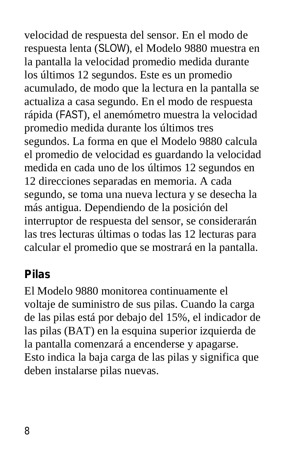velocidad de respuesta del sensor. En el modo de respuesta lenta (SLOW), el Modelo 9880 muestra en la pantalla la velocidad promedio medida durante los últimos 12 segundos. Este es un promedio acumulado, de modo que la lectura en la pantalla se actualiza a casa segundo. En el modo de respuesta rápida (FAST), el anemómetro muestra la velocidad promedio medida durante los últimos tres segundos. La forma en que el Modelo 9880 calcula el promedio de velocidad es guardando la velocidad medida en cada uno de los últimos 12 segundos en 12 direcciones separadas en memoria. A cada segundo, se toma una nueva lectura y se desecha la más antigua. Dependiendo de la posición del interruptor de respuesta del sensor, se considerarán las tres lecturas últimas o todas las 12 lecturas para calcular el promedio que se mostrará en la pantalla.

#### **Pilas**

El Modelo 9880 monitorea continuamente el voltaje de suministro de sus pilas. Cuando la carga de las pilas está por debajo del 15%, el indicador de las pilas (BAT) en la esquina superior izquierda de la pantalla comenzará a encenderse y apagarse. Esto indica la baja carga de las pilas y significa que deben instalarse pilas nuevas.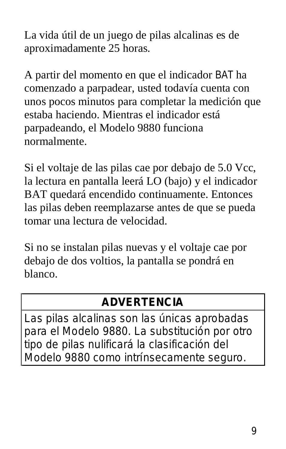La vida útil de un juego de pilas alcalinas es de aproximadamente 25 horas.

A partir del momento en que el indicador BAT ha comenzado a parpadear, usted todavía cuenta con unos pocos minutos para completar la medición que estaba haciendo. Mientras el indicador está parpadeando, el Modelo 9880 funciona normalmente.

Si el voltaje de las pilas cae por debajo de 5.0 Vcc, la lectura en pantalla leerá LO (bajo) y el indicador BAT quedará encendido continuamente. Entonces las pilas deben reemplazarse antes de que se pueda tomar una lectura de velocidad.

Si no se instalan pilas nuevas y el voltaje cae por debajo de dos voltios, la pantalla se pondrá en blanco.

### **ADVERTENCIA**

Las pilas alcalinas son las únicas aprobadas para el Modelo 9880. La substitución por otro tipo de pilas nulificará la clasificación del Modelo 9880 como intrínsecamente seguro.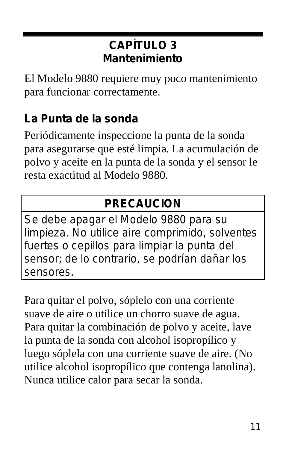### **CAPÍTULO 3 Mantenimiento**

El Modelo 9880 requiere muy poco mantenimiento para funcionar correctamente.

### **La Punta de la sonda**

Periódicamente inspeccione la punta de la sonda para asegurarse que esté limpia. La acumulación de polvo y aceite en la punta de la sonda y el sensor le resta exactitud al Modelo 9880.

### **PRECAUCION**

Se debe apagar el Modelo 9880 para su limpieza. No utilice aire comprimido, solventes fuertes o cepillos para limpiar la punta del sensor; de lo contrario, se podrían dañar los sensores.

Para quitar el polvo, sóplelo con una corriente suave de aire o utilice un chorro suave de agua. Para quitar la combinación de polvo y aceite, lave la punta de la sonda con alcohol isopropílico y luego sóplela con una corriente suave de aire. (No utilice alcohol isopropílico que contenga lanolina). Nunca utilice calor para secar la sonda.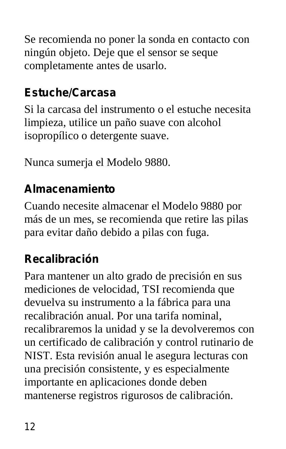Se recomienda no poner la sonda en contacto con ningún objeto. Deje que el sensor se seque completamente antes de usarlo.

### **Estuche/Carcasa**

Si la carcasa del instrumento o el estuche necesita limpieza, utilice un paño suave con alcohol isopropílico o detergente suave.

Nunca sumerja el Modelo 9880.

### **Almacenamiento**

Cuando necesite almacenar el Modelo 9880 por más de un mes, se recomienda que retire las pilas para evitar daño debido a pilas con fuga.

### **Recalibración**

Para mantener un alto grado de precisión en sus mediciones de velocidad, TSI recomienda que devuelva su instrumento a la fábrica para una recalibración anual. Por una tarifa nominal, recalibraremos la unidad y se la devolveremos con un certificado de calibración y control rutinario de NIST. Esta revisión anual le asegura lecturas con una precisión consistente, y es especialmente importante en aplicaciones donde deben mantenerse registros rigurosos de calibración.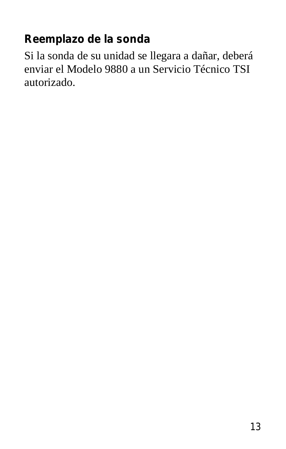### **Reemplazo de la sonda**

Si la sonda de su unidad se llegara a dañar, deberá enviar el Modelo 9880 a un Servicio Técnico TSI autorizado.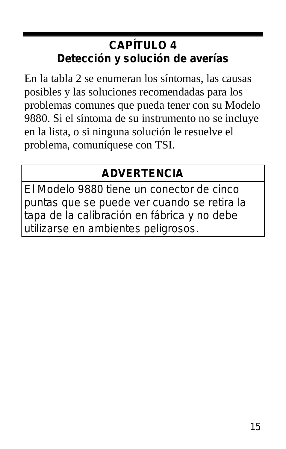### **CAPÍTULO 4 Detección y solución de averías**

En la tabla 2 se enumeran los síntomas, las causas posibles y las soluciones recomendadas para los problemas comunes que pueda tener con su Modelo 9880. Si el síntoma de su instrumento no se incluye en la lista, o si ninguna solución le resuelve el problema, comuníquese con TSI.

### **ADVERTENCIA**

El Modelo 9880 tiene un conector de cinco puntas que se puede ver cuando se retira la tapa de la calibración en fábrica y no debe utilizarse en ambientes peligrosos.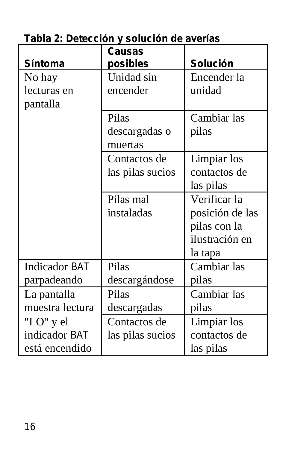### **Tabla 2: Detección y solución de averías**

|                      | <b>Causas</b>    |                 |
|----------------------|------------------|-----------------|
| Síntoma              | posibles         | <b>Solución</b> |
| No hay               | Unidad sin       | Encender la     |
| lecturas en          | encender         | unidad          |
| pantalla             |                  |                 |
|                      | Pilas            | Cambiar las     |
|                      | descargadas o    | pilas           |
|                      | muertas          |                 |
|                      | Contactos de     | Limpiar los     |
|                      | las pilas sucios | contactos de    |
|                      |                  | las pilas       |
|                      | Pilas mal        | Verificar la    |
|                      | instaladas       | posición de las |
|                      |                  | pilas con la    |
|                      |                  | ilustración en  |
|                      |                  | la tapa         |
| <b>Indicador BAT</b> | Pilas            | Cambiar las     |
| parpadeando          | descargándose    | pilas           |
| La pantalla          | Pilas            | Cambiar las     |
| muestra lectura      | descargadas      | pilas           |
| "LO" y el            | Contactos de     | Limpiar los     |
| indicador BAT        | las pilas sucios | contactos de    |
| está encendido       |                  | las pilas       |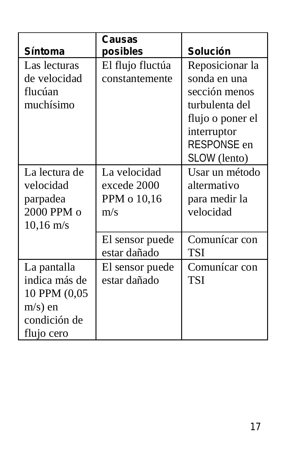| Síntoma             | Causas<br>posibles | Solución         |
|---------------------|--------------------|------------------|
| Las lecturas        | El flujo fluctúa   | Reposicionar la  |
| de velocidad        | constantemente     | sonda en una     |
| flucúan             |                    | sección menos    |
| muchísimo           |                    | turbulenta del   |
|                     |                    | flujo o poner el |
|                     |                    | interruptor      |
|                     |                    | RESPONSE en      |
|                     |                    | SLOW (lento)     |
| La lectura de       | La velocidad       | Usar un método   |
| velocidad           | excede 2000        | altermativo      |
| parpadea            | PPM o 10,16        | para medir la    |
| $2000$ PPM $o$      | m/s                | velocidad        |
| $10,16 \text{ m/s}$ |                    |                  |
|                     | El sensor puede    | Comunícar con    |
|                     | estar dañado       | TSI              |
| La pantalla         | El sensor puede    | Comunícar con    |
| indica más de       | estar dañado       | TSI              |
| 10 PPM (0,05        |                    |                  |
| $m/s$ ) en          |                    |                  |
| condición de        |                    |                  |
| flujo cero          |                    |                  |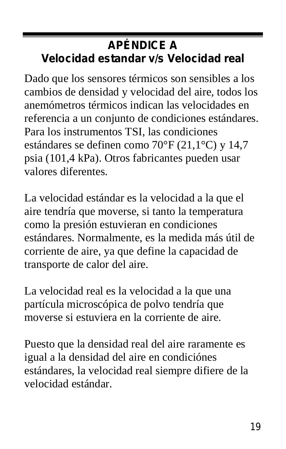### **APÉNDICE A Velocidad estandar v/s Velocidad real**

Dado que los sensores térmicos son sensibles a los cambios de densidad y velocidad del aire, todos los anemómetros térmicos indican las velocidades en referencia a un conjunto de condiciones estándares. Para los instrumentos TSI, las condiciones estándares se definen como 70°F (21,1°C) y 14,7 psia (101,4 kPa). Otros fabricantes pueden usar valores diferentes.

La velocidad estándar es la velocidad a la que el aire tendría que moverse, si tanto la temperatura como la presión estuvieran en condiciones estándares. Normalmente, es la medida más útil de corriente de aire, ya que define la capacidad de transporte de calor del aire.

La velocidad real es la velocidad a la que una partícula microscópica de polvo tendría que moverse si estuviera en la corriente de aire.

Puesto que la densidad real del aire raramente es igual a la densidad del aire en condiciónes estándares, la velocidad real siempre difiere de la velocidad estándar.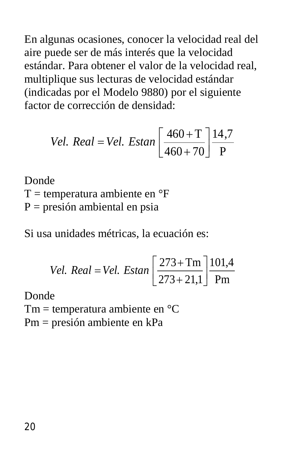En algunas ocasiones, conocer la velocidad real del aire puede ser de más interés que la velocidad estándar. Para obtener el valor de la velocidad real, multiplique sus lecturas de velocidad estándar (indicadas por el Modelo 9880) por el siguiente factor de corrección de densidad:

$$
Vel. Real = Vel. Estan \left[ \frac{460 + T}{460 + 70} \right] \frac{14.7}{P}
$$

Donde  $T =$  temperatura ambiente en  $\mathrm{P}F$  $P = presión ambiental en psia$ 

Si usa unidades métricas, la ecuación es:

*Vel. Real = Vel. Estan* 
$$
\left[ \frac{273 + Tm}{273 + 21,1} \right]
$$
  $\frac{101,4}{Pm}$ 

Donde

Tm = temperatura ambiente en °C

Pm = presión ambiente en kPa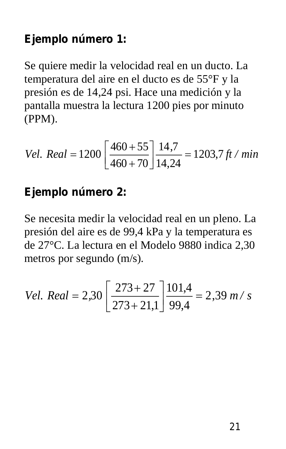### **Ejemplo número 1:**

Se quiere medir la velocidad real en un ducto. La temperatura del aire en el ducto es de 55°F y la presión es de 14,24 psi. Hace una medición y la pantalla muestra la lectura 1200 pies por minuto (PPM).

*Vel. Real* = 
$$
1200 \left[ \frac{460 + 55}{460 + 70} \right] \frac{14,7}{14,24} = 1203,7 \text{ ft} / \text{min}
$$

#### **Ejemplo número 2:**

Se necesita medir la velocidad real en un pleno. La presión del aire es de 99,4 kPa y la temperatura es de 27°C. La lectura en el Modelo 9880 indica 2,30 metros por segundo (m/s).

*Vel. Real* = 2,30 
$$
\left[ \frac{273 + 27}{273 + 21,1} \right]
$$
  $\frac{101,4}{99,4}$  = 2,39 m/s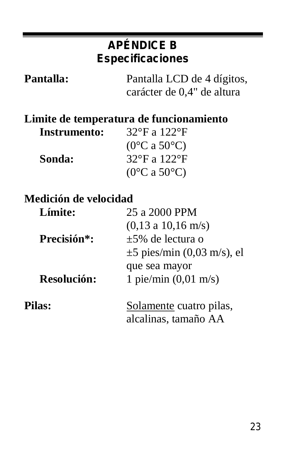### **APÉNDICE B Especificaciones**

| <b>Pantalla:</b> | Pantalla LCD de 4 dígitos, |
|------------------|----------------------------|
|                  | carácter de 0,4" de altura |

#### **Limite de temperatura de funcionamiento**

| Instrumento: | 32°F a 122°F                      |
|--------------|-----------------------------------|
|              | $(0^{\circ}$ C a 50 $^{\circ}$ C) |
| Sonda:       | 32°F a 122°F                      |
|              | $(0^{\circ}$ C a 50 $^{\circ}$ C) |

#### **Medición de velocidad**

| Límite:     | 25 a 2000 PPM                   |
|-------------|---------------------------------|
|             | (0.13 a 10.16 m/s)              |
| Precisión*: | $+5\%$ de lectura o             |
|             | $\pm$ 5 pies/min (0,03 m/s), el |
|             | que sea mayor                   |
| Resolución: | 1 pie/min $(0,01 \text{ m/s})$  |
| Pilas:      | Solamente cuatro pilas,         |
|             | alcalinas, tamaño AA            |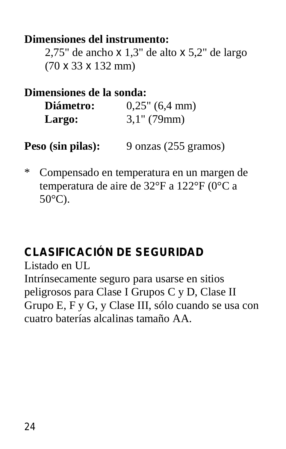**Dimensiones del instrumento:** 2,75" de ancho x 1,3" de alto x 5,2" de largo

(70 x 33 x 132 mm)

**Dimensiones de la sonda:**

**Diámetro:** 0,25" (6,4 mm) **Largo:** 3,1" (79mm)

**Peso (sin pilas):** 9 onzas (255 gramos)

\* Compensado en temperatura en un margen de temperatura de aire de 32°F a 122°F (0°C a 50°C).

### **CLASIFICACIÓN DE SEGURIDAD**

Listado en UL

Intrínsecamente seguro para usarse en sitios peligrosos para Clase I Grupos C y D, Clase II Grupo E, F y G, y Clase III, sólo cuando se usa con cuatro baterías alcalinas tamaño AA.